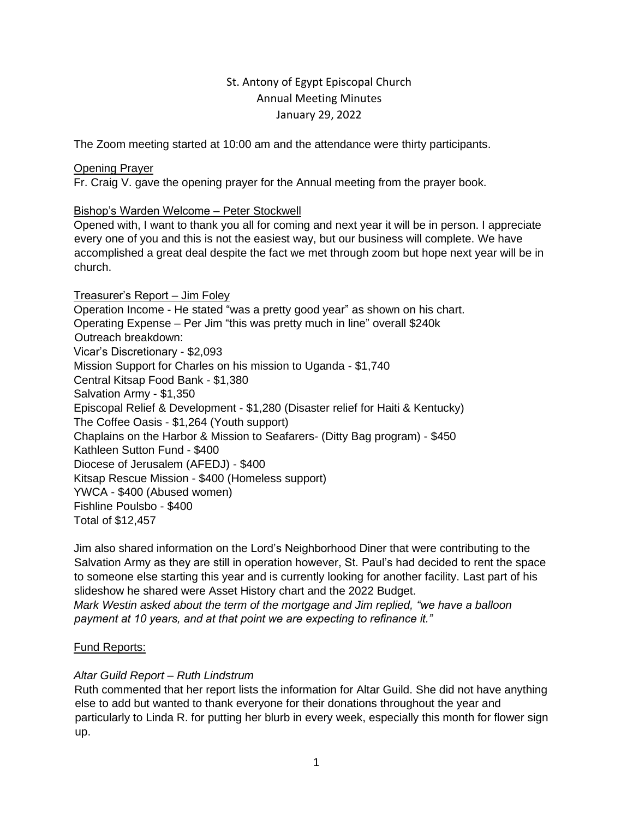# St. Antony of Egypt Episcopal Church Annual Meeting Minutes January 29, 2022

The Zoom meeting started at 10:00 am and the attendance were thirty participants.

# Opening Prayer

Fr. Craig V. gave the opening prayer for the Annual meeting from the prayer book.

# Bishop's Warden Welcome – Peter Stockwell

Opened with, I want to thank you all for coming and next year it will be in person. I appreciate every one of you and this is not the easiest way, but our business will complete. We have accomplished a great deal despite the fact we met through zoom but hope next year will be in church.

Treasurer's Report – Jim Foley Operation Income - He stated "was a pretty good year" as shown on his chart. Operating Expense – Per Jim "this was pretty much in line" overall \$240k Outreach breakdown: Vicar's Discretionary - \$2,093 Mission Support for Charles on his mission to Uganda - \$1,740 Central Kitsap Food Bank - \$1,380 Salvation Army - \$1,350 Episcopal Relief & Development - \$1,280 (Disaster relief for Haiti & Kentucky) The Coffee Oasis - \$1,264 (Youth support) Chaplains on the Harbor & Mission to Seafarers- (Ditty Bag program) - \$450 Kathleen Sutton Fund - \$400 Diocese of Jerusalem (AFEDJ) - \$400 Kitsap Rescue Mission - \$400 (Homeless support) YWCA - \$400 (Abused women) Fishline Poulsbo - \$400 Total of \$12,457

Jim also shared information on the Lord's Neighborhood Diner that were contributing to the Salvation Army as they are still in operation however, St. Paul's had decided to rent the space to someone else starting this year and is currently looking for another facility. Last part of his slideshow he shared were Asset History chart and the 2022 Budget. *Mark Westin asked about the term of the mortgage and Jim replied, "we have a balloon payment at 10 years, and at that point we are expecting to refinance it."* 

# Fund Reports:

## *Altar Guild Report – Ruth Lindstrum*

Ruth commented that her report lists the information for Altar Guild. She did not have anything else to add but wanted to thank everyone for their donations throughout the year and particularly to Linda R. for putting her blurb in every week, especially this month for flower sign up.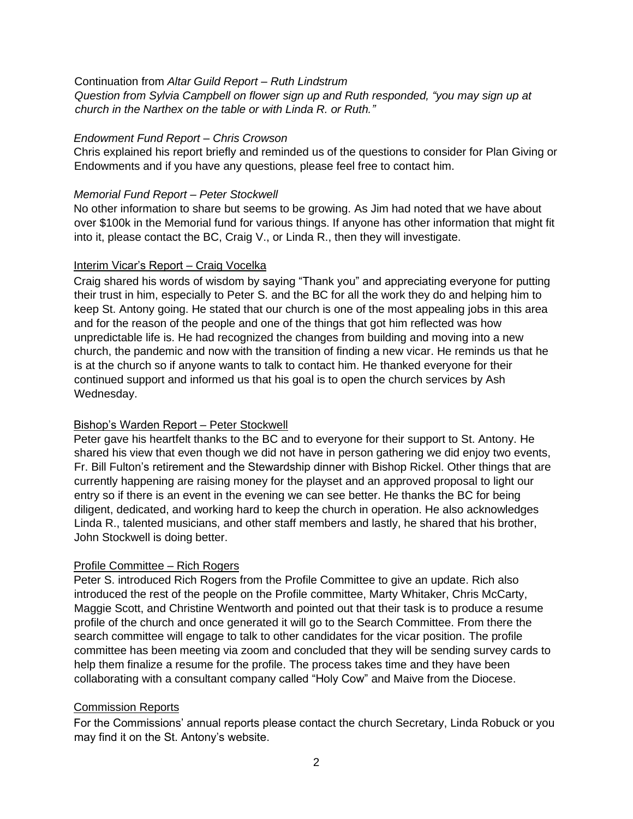Continuation from *Altar Guild Report – Ruth Lindstrum*

*Question from Sylvia Campbell on flower sign up and Ruth responded, "you may sign up at church in the Narthex on the table or with Linda R. or Ruth."*

#### *Endowment Fund Report – Chris Crowson*

Chris explained his report briefly and reminded us of the questions to consider for Plan Giving or Endowments and if you have any questions, please feel free to contact him.

### *Memorial Fund Report – Peter Stockwell*

No other information to share but seems to be growing. As Jim had noted that we have about over \$100k in the Memorial fund for various things. If anyone has other information that might fit into it, please contact the BC, Craig V., or Linda R., then they will investigate.

#### Interim Vicar's Report – Craig Vocelka

Craig shared his words of wisdom by saying "Thank you" and appreciating everyone for putting their trust in him, especially to Peter S. and the BC for all the work they do and helping him to keep St. Antony going. He stated that our church is one of the most appealing jobs in this area and for the reason of the people and one of the things that got him reflected was how unpredictable life is. He had recognized the changes from building and moving into a new church, the pandemic and now with the transition of finding a new vicar. He reminds us that he is at the church so if anyone wants to talk to contact him. He thanked everyone for their continued support and informed us that his goal is to open the church services by Ash Wednesday.

## Bishop's Warden Report – Peter Stockwell

Peter gave his heartfelt thanks to the BC and to everyone for their support to St. Antony. He shared his view that even though we did not have in person gathering we did enjoy two events, Fr. Bill Fulton's retirement and the Stewardship dinner with Bishop Rickel. Other things that are currently happening are raising money for the playset and an approved proposal to light our entry so if there is an event in the evening we can see better. He thanks the BC for being diligent, dedicated, and working hard to keep the church in operation. He also acknowledges Linda R., talented musicians, and other staff members and lastly, he shared that his brother, John Stockwell is doing better.

## Profile Committee – Rich Rogers

Peter S. introduced Rich Rogers from the Profile Committee to give an update. Rich also introduced the rest of the people on the Profile committee, Marty Whitaker, Chris McCarty, Maggie Scott, and Christine Wentworth and pointed out that their task is to produce a resume profile of the church and once generated it will go to the Search Committee. From there the search committee will engage to talk to other candidates for the vicar position. The profile committee has been meeting via zoom and concluded that they will be sending survey cards to help them finalize a resume for the profile. The process takes time and they have been collaborating with a consultant company called "Holy Cow" and Maive from the Diocese.

## Commission Reports

For the Commissions' annual reports please contact the church Secretary, Linda Robuck or you may find it on the St. Antony's website.